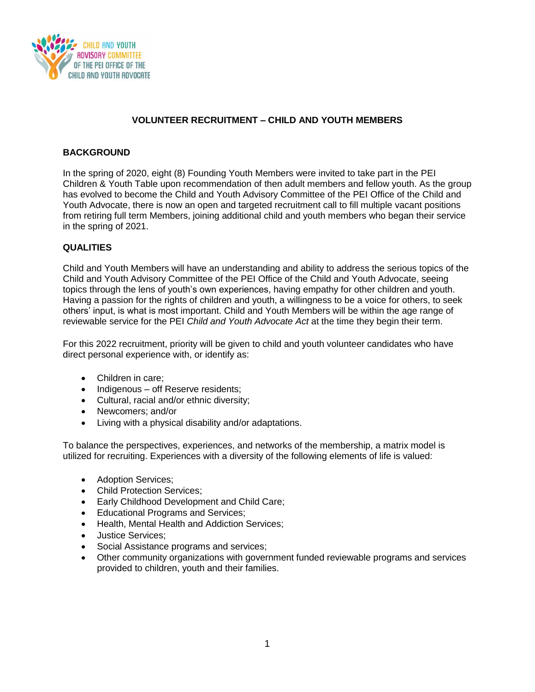

## **VOLUNTEER RECRUITMENT – CHILD AND YOUTH MEMBERS**

## **BACKGROUND**

In the spring of 2020, eight (8) Founding Youth Members were invited to take part in the PEI Children & Youth Table upon recommendation of then adult members and fellow youth. As the group has evolved to become the Child and Youth Advisory Committee of the PEI Office of the Child and Youth Advocate, there is now an open and targeted recruitment call to fill multiple vacant positions from retiring full term Members, joining additional child and youth members who began their service in the spring of 2021.

## **QUALITIES**

Child and Youth Members will have an understanding and ability to address the serious topics of the Child and Youth Advisory Committee of the PEI Office of the Child and Youth Advocate, seeing topics through the lens of youth's own experiences, having empathy for other children and youth. Having a passion for the rights of children and youth, a willingness to be a voice for others, to seek others' input, is what is most important. Child and Youth Members will be within the age range of reviewable service for the PEI *Child and Youth Advocate Act* at the time they begin their term.

For this 2022 recruitment, priority will be given to child and youth volunteer candidates who have direct personal experience with, or identify as:

- Children in care;
- Indigenous off Reserve residents;
- Cultural, racial and/or ethnic diversity;
- Newcomers: and/or
- Living with a physical disability and/or adaptations.

To balance the perspectives, experiences, and networks of the membership, a matrix model is utilized for recruiting. Experiences with a diversity of the following elements of life is valued:

- Adoption Services;
- Child Protection Services;
- **Early Childhood Development and Child Care;**
- Educational Programs and Services;
- Health, Mental Health and Addiction Services;
- Justice Services:
- Social Assistance programs and services;
- Other community organizations with government funded reviewable programs and services provided to children, youth and their families.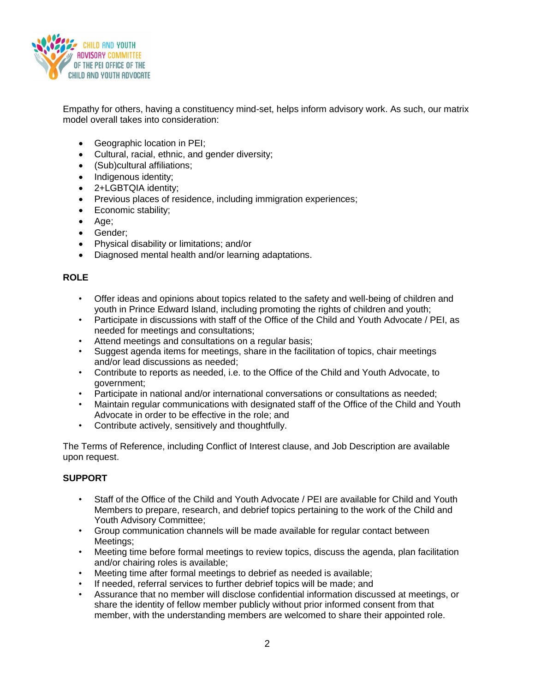

Empathy for others, having a constituency mind-set, helps inform advisory work. As such, our matrix model overall takes into consideration:

- Geographic location in PEI;
- Cultural, racial, ethnic, and gender diversity;
- (Sub)cultural affiliations;
- Indigenous identity;
- 2+LGBTQIA identity;
- Previous places of residence, including immigration experiences;
- Economic stability;
- Age;
- Gender:
- Physical disability or limitations; and/or
- Diagnosed mental health and/or learning adaptations.

#### **ROLE**

- Offer ideas and opinions about topics related to the safety and well-being of children and youth in Prince Edward Island, including promoting the rights of children and youth;
- Participate in discussions with staff of the Office of the Child and Youth Advocate / PEI, as needed for meetings and consultations;
- Attend meetings and consultations on a regular basis;
- Suggest agenda items for meetings, share in the facilitation of topics, chair meetings and/or lead discussions as needed;
- Contribute to reports as needed, i.e. to the Office of the Child and Youth Advocate, to government;
- Participate in national and/or international conversations or consultations as needed;
- Maintain regular communications with designated staff of the Office of the Child and Youth Advocate in order to be effective in the role; and
- Contribute actively, sensitively and thoughtfully.

The Terms of Reference, including Conflict of Interest clause, and Job Description are available upon request.

# **SUPPORT**

- Staff of the Office of the Child and Youth Advocate / PEI are available for Child and Youth Members to prepare, research, and debrief topics pertaining to the work of the Child and Youth Advisory Committee;
- Group communication channels will be made available for regular contact between Meetings;
- Meeting time before formal meetings to review topics, discuss the agenda, plan facilitation and/or chairing roles is available;
- Meeting time after formal meetings to debrief as needed is available;
- If needed, referral services to further debrief topics will be made; and
- Assurance that no member will disclose confidential information discussed at meetings, or share the identity of fellow member publicly without prior informed consent from that member, with the understanding members are welcomed to share their appointed role.